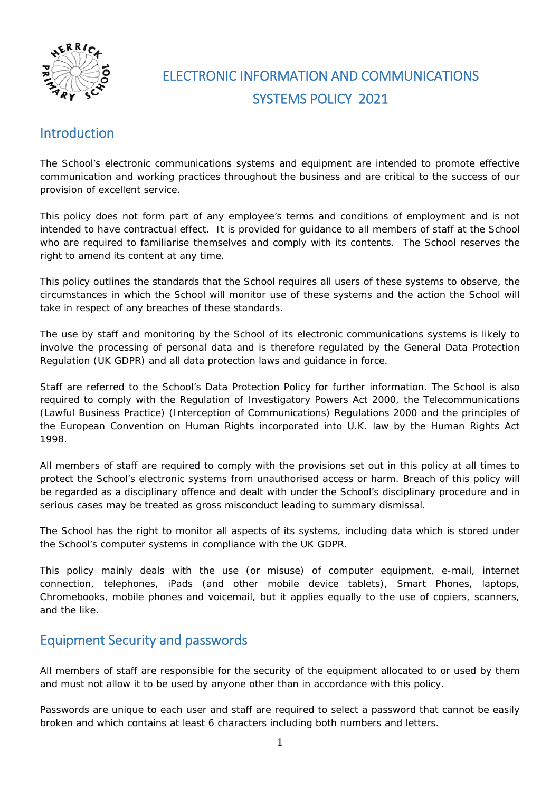

# ELECTRONIC INFORMATION AND COMMUNICATIONS SYSTEMS POLICY 2021

# Introduction

The School's electronic communications systems and equipment are intended to promote effective communication and working practices throughout the business and are critical to the success of our provision of excellent service.

This policy does not form part of any employee's terms and conditions of employment and is not intended to have contractual effect. It is provided for guidance to all members of staff at the School who are required to familiarise themselves and comply with its contents. The School reserves the right to amend its content at any time.

This policy outlines the standards that the School requires all users of these systems to observe, the circumstances in which the School will monitor use of these systems and the action the School will take in respect of any breaches of these standards.

The use by staff and monitoring by the School of its electronic communications systems is likely to involve the processing of personal data and is therefore regulated by the General Data Protection Regulation (UK GDPR) and all data protection laws and guidance in force.

Staff are referred to the School's Data Protection Policy for further information. The School is also required to comply with the Regulation of Investigatory Powers Act 2000, the Telecommunications (Lawful Business Practice) (Interception of Communications) Regulations 2000 and the principles of the European Convention on Human Rights incorporated into U.K. law by the Human Rights Act 1998.

All members of staff are required to comply with the provisions set out in this policy at all times to protect the School's electronic systems from unauthorised access or harm. Breach of this policy will be regarded as a disciplinary offence and dealt with under the School's disciplinary procedure and in serious cases may be treated as gross misconduct leading to summary dismissal.

The School has the right to monitor all aspects of its systems, including data which is stored under the School's computer systems in compliance with the UK GDPR.

This policy mainly deals with the use (or misuse) of computer equipment, e-mail, internet connection, telephones, iPads (and other mobile device tablets), Smart Phones, laptops, Chromebooks, mobile phones and voicemail, but it applies equally to the use of copiers, scanners, and the like.

# Equipment Security and passwords

All members of staff are responsible for the security of the equipment allocated to or used by them and must not allow it to be used by anyone other than in accordance with this policy.

Passwords are unique to each user and staff are required to select a password that cannot be easily broken and which contains at least 6 characters including both numbers and letters.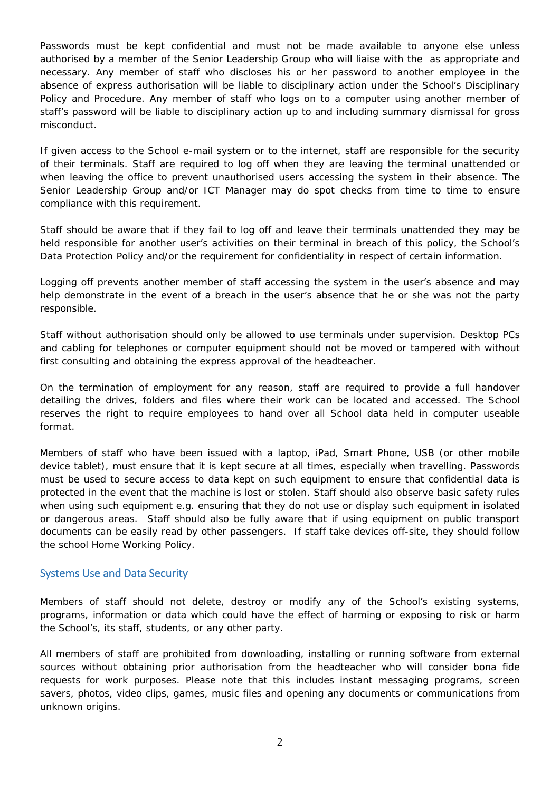Passwords must be kept confidential and must not be made available to anyone else unless authorised by a member of the Senior Leadership Group who will liaise with the as appropriate and necessary. Any member of staff who discloses his or her password to another employee in the absence of express authorisation will be liable to disciplinary action under the School's Disciplinary Policy and Procedure. Any member of staff who logs on to a computer using another member of staff's password will be liable to disciplinary action up to and including summary dismissal for gross misconduct.

If given access to the School e-mail system or to the internet, staff are responsible for the security of their terminals. Staff are required to log off when they are leaving the terminal unattended or when leaving the office to prevent unauthorised users accessing the system in their absence. The Senior Leadership Group and/or ICT Manager may do spot checks from time to time to ensure compliance with this requirement.

Staff should be aware that if they fail to log off and leave their terminals unattended they may be held responsible for another user's activities on their terminal in breach of this policy, the School's Data Protection Policy and/or the requirement for confidentiality in respect of certain information.

Logging off prevents another member of staff accessing the system in the user's absence and may help demonstrate in the event of a breach in the user's absence that he or she was not the party responsible.

Staff without authorisation should only be allowed to use terminals under supervision. Desktop PCs and cabling for telephones or computer equipment should not be moved or tampered with without first consulting and obtaining the express approval of the headteacher.

On the termination of employment for any reason, staff are required to provide a full handover detailing the drives, folders and files where their work can be located and accessed. The School reserves the right to require employees to hand over all School data held in computer useable format.

Members of staff who have been issued with a laptop, iPad, Smart Phone, USB (or other mobile device tablet), must ensure that it is kept secure at all times, especially when travelling. Passwords must be used to secure access to data kept on such equipment to ensure that confidential data is protected in the event that the machine is lost or stolen. Staff should also observe basic safety rules when using such equipment e.g. ensuring that they do not use or display such equipment in isolated or dangerous areas. Staff should also be fully aware that if using equipment on public transport documents can be easily read by other passengers. If staff take devices off-site, they should follow the school Home Working Policy.

#### Systems Use and Data Security

Members of staff should not delete, destroy or modify any of the School's existing systems, programs, information or data which could have the effect of harming or exposing to risk or harm the School's, its staff, students, or any other party.

All members of staff are prohibited from downloading, installing or running software from external sources without obtaining prior authorisation from the headteacher who will consider bona fide requests for work purposes. Please note that this includes instant messaging programs, screen savers, photos, video clips, games, music files and opening any documents or communications from unknown origins.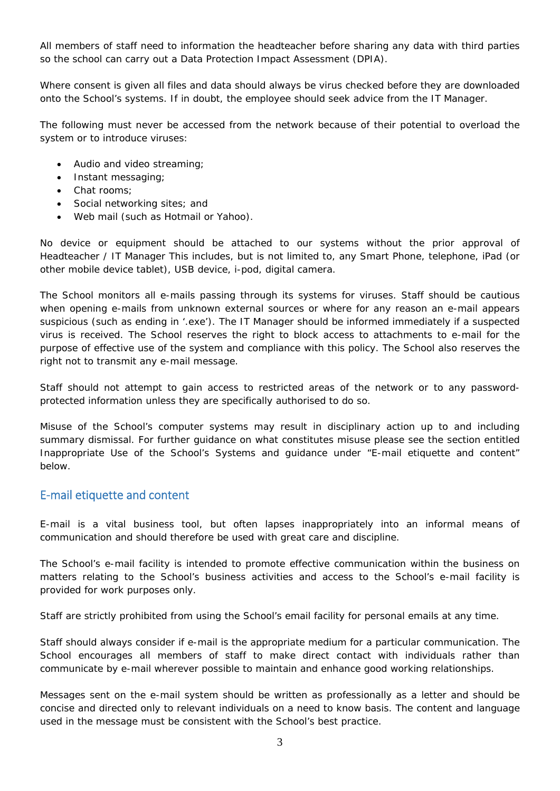All members of staff need to information the headteacher before sharing any data with third parties so the school can carry out a Data Protection Impact Assessment (DPIA).

Where consent is given all files and data should always be virus checked before they are downloaded onto the School's systems. If in doubt, the employee should seek advice from the IT Manager.

The following must never be accessed from the network because of their potential to overload the system or to introduce viruses:

- Audio and video streaming;
- Instant messaging;
- Chat rooms:
- Social networking sites; and
- Web mail (such as Hotmail or Yahoo).

No device or equipment should be attached to our systems without the prior approval of Headteacher / IT Manager This includes, but is not limited to, any Smart Phone, telephone, iPad (or other mobile device tablet), USB device, i-pod, digital camera.

The School monitors all e-mails passing through its systems for viruses. Staff should be cautious when opening e-mails from unknown external sources or where for any reason an e-mail appears suspicious (such as ending in '.exe'). The IT Manager should be informed immediately if a suspected virus is received. The School reserves the right to block access to attachments to e-mail for the purpose of effective use of the system and compliance with this policy. The School also reserves the right not to transmit any e-mail message.

Staff should not attempt to gain access to restricted areas of the network or to any passwordprotected information unless they are specifically authorised to do so.

Misuse of the School's computer systems may result in disciplinary action up to and including summary dismissal. For further guidance on what constitutes misuse please see the section entitled Inappropriate Use of the School's Systems and guidance under "E-mail etiquette and content" below.

#### E‐mail etiquette and content

E-mail is a vital business tool, but often lapses inappropriately into an informal means of communication and should therefore be used with great care and discipline.

The School's e-mail facility is intended to promote effective communication within the business on matters relating to the School's business activities and access to the School's e-mail facility is provided for work purposes only.

Staff are strictly prohibited from using the School's email facility for personal emails at any time.

Staff should always consider if e-mail is the appropriate medium for a particular communication. The School encourages all members of staff to make direct contact with individuals rather than communicate by e-mail wherever possible to maintain and enhance good working relationships.

Messages sent on the e-mail system should be written as professionally as a letter and should be concise and directed only to relevant individuals on a need to know basis. The content and language used in the message must be consistent with the School's best practice.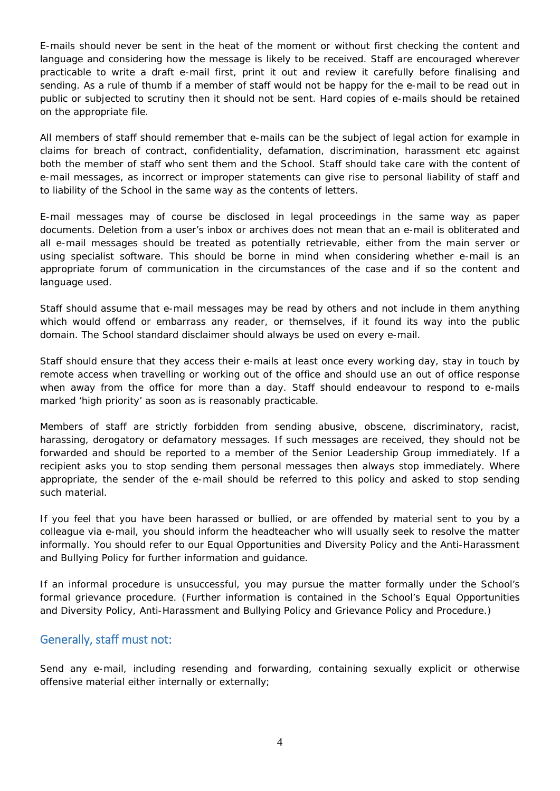E-mails should never be sent in the heat of the moment or without first checking the content and language and considering how the message is likely to be received. Staff are encouraged wherever practicable to write a draft e-mail first, print it out and review it carefully before finalising and sending. As a rule of thumb if a member of staff would not be happy for the e-mail to be read out in public or subjected to scrutiny then it should not be sent. Hard copies of e-mails should be retained on the appropriate file.

All members of staff should remember that e-mails can be the subject of legal action for example in claims for breach of contract, confidentiality, defamation, discrimination, harassment etc against both the member of staff who sent them and the School. Staff should take care with the content of e-mail messages, as incorrect or improper statements can give rise to personal liability of staff and to liability of the School in the same way as the contents of letters.

E-mail messages may of course be disclosed in legal proceedings in the same way as paper documents. Deletion from a user's inbox or archives does not mean that an e-mail is obliterated and all e-mail messages should be treated as potentially retrievable, either from the main server or using specialist software. This should be borne in mind when considering whether e-mail is an appropriate forum of communication in the circumstances of the case and if so the content and language used.

Staff should assume that e-mail messages may be read by others and not include in them anything which would offend or embarrass any reader, or themselves, if it found its way into the public domain. The School standard disclaimer should always be used on every e-mail.

Staff should ensure that they access their e-mails at least once every working day, stay in touch by remote access when travelling or working out of the office and should use an out of office response when away from the office for more than a day. Staff should endeavour to respond to e-mails marked 'high priority' as soon as is reasonably practicable.

Members of staff are strictly forbidden from sending abusive, obscene, discriminatory, racist, harassing, derogatory or defamatory messages. If such messages are received, they should not be forwarded and should be reported to a member of the Senior Leadership Group immediately. If a recipient asks you to stop sending them personal messages then always stop immediately. Where appropriate, the sender of the e-mail should be referred to this policy and asked to stop sending such material.

If you feel that you have been harassed or bullied, or are offended by material sent to you by a colleague via e-mail, you should inform the headteacher who will usually seek to resolve the matter informally. You should refer to our Equal Opportunities and Diversity Policy and the Anti-Harassment and Bullying Policy for further information and guidance.

If an informal procedure is unsuccessful, you may pursue the matter formally under the School's formal grievance procedure. (Further information is contained in the School's Equal Opportunities and Diversity Policy, Anti-Harassment and Bullying Policy and Grievance Policy and Procedure.)

## Generally, staff must not:

Send any e-mail, including resending and forwarding, containing sexually explicit or otherwise offensive material either internally or externally;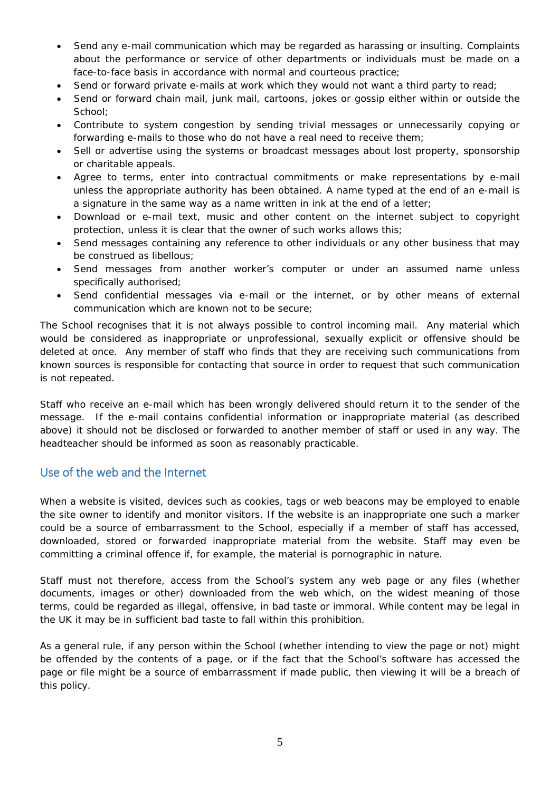- Send any e-mail communication which may be regarded as harassing or insulting. Complaints about the performance or service of other departments or individuals must be made on a face-to-face basis in accordance with normal and courteous practice;
- Send or forward private e-mails at work which they would not want a third party to read;
- Send or forward chain mail, junk mail, cartoons, jokes or gossip either within or outside the School;
- Contribute to system congestion by sending trivial messages or unnecessarily copying or forwarding e-mails to those who do not have a real need to receive them;
- Sell or advertise using the systems or broadcast messages about lost property, sponsorship or charitable appeals.
- Agree to terms, enter into contractual commitments or make representations by e-mail unless the appropriate authority has been obtained. A name typed at the end of an e-mail is a signature in the same way as a name written in ink at the end of a letter;
- Download or e-mail text, music and other content on the internet subject to copyright protection, unless it is clear that the owner of such works allows this;
- Send messages containing any reference to other individuals or any other business that may be construed as libellous;
- Send messages from another worker's computer or under an assumed name unless specifically authorised;
- Send confidential messages via e-mail or the internet, or by other means of external communication which are known not to be secure;

The School recognises that it is not always possible to control incoming mail. Any material which would be considered as inappropriate or unprofessional, sexually explicit or offensive should be deleted at once. Any member of staff who finds that they are receiving such communications from known sources is responsible for contacting that source in order to request that such communication is not repeated.

Staff who receive an e-mail which has been wrongly delivered should return it to the sender of the message. If the e-mail contains confidential information or inappropriate material (as described above) it should not be disclosed or forwarded to another member of staff or used in any way. The headteacher should be informed as soon as reasonably practicable.

## Use of the web and the Internet

When a website is visited, devices such as cookies, tags or web beacons may be employed to enable the site owner to identify and monitor visitors. If the website is an inappropriate one such a marker could be a source of embarrassment to the School, especially if a member of staff has accessed, downloaded, stored or forwarded inappropriate material from the website. Staff may even be committing a criminal offence if, for example, the material is pornographic in nature.

Staff must not therefore, access from the School's system any web page or any files (whether documents, images or other) downloaded from the web which, on the widest meaning of those terms, could be regarded as illegal, offensive, in bad taste or immoral. While content may be legal in the UK it may be in sufficient bad taste to fall within this prohibition.

As a general rule, if any person within the School (whether intending to view the page or not) might be offended by the contents of a page, or if the fact that the School's software has accessed the page or file might be a source of embarrassment if made public, then viewing it will be a breach of this policy.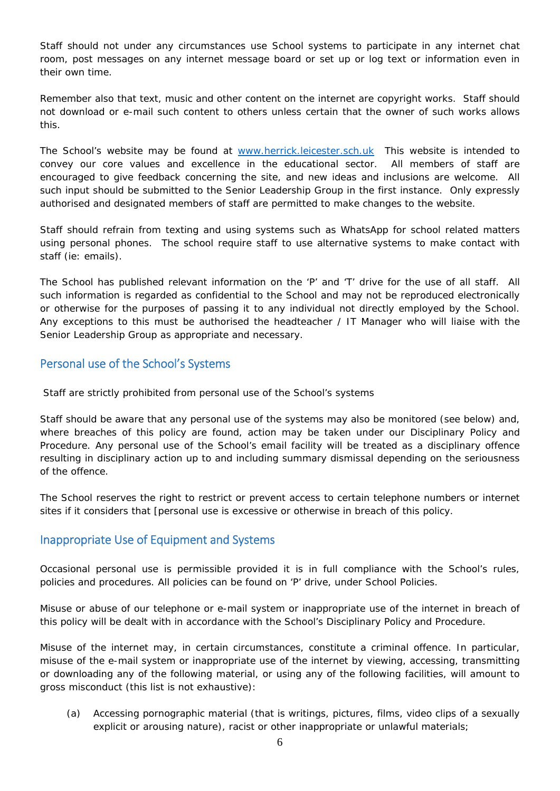Staff should not under any circumstances use School systems to participate in any internet chat room, post messages on any internet message board or set up or log text or information even in their own time.

Remember also that text, music and other content on the internet are copyright works. Staff should not download or e-mail such content to others unless certain that the owner of such works allows this.

The School's website may be found at [www.herrick.leicester.sch.uk](http://www.herrick.leicester.sch.uk/) This website is intended to convey our core values and excellence in the educational sector. All members of staff are encouraged to give feedback concerning the site, and new ideas and inclusions are welcome. All such input should be submitted to the Senior Leadership Group in the first instance. Only expressly authorised and designated members of staff are permitted to make changes to the website.

Staff should refrain from texting and using systems such as WhatsApp for school related matters using personal phones. The school require staff to use alternative systems to make contact with staff (ie: emails).

The School has published relevant information on the 'P' and 'T' drive for the use of all staff. All such information is regarded as confidential to the School and may not be reproduced electronically or otherwise for the purposes of passing it to any individual not directly employed by the School. Any exceptions to this must be authorised the headteacher / IT Manager who will liaise with the Senior Leadership Group as appropriate and necessary.

## Personal use of the School's Systems

Staff are strictly prohibited from personal use of the School's systems

Staff should be aware that any personal use of the systems may also be monitored (see below) and, where breaches of this policy are found, action may be taken under our Disciplinary Policy and Procedure. Any personal use of the School's email facility will be treated as a disciplinary offence resulting in disciplinary action up to and including summary dismissal depending on the seriousness of the offence.

The School reserves the right to restrict or prevent access to certain telephone numbers or internet sites if it considers that [personal use is excessive or otherwise in breach of this policy.

## Inappropriate Use of Equipment and Systems

Occasional personal use is permissible provided it is in full compliance with the School's rules, policies and procedures. All policies can be found on 'P' drive, under School Policies.

Misuse or abuse of our telephone or e-mail system or inappropriate use of the internet in breach of this policy will be dealt with in accordance with the School's Disciplinary Policy and Procedure.

Misuse of the internet may, in certain circumstances, constitute a criminal offence. In particular, misuse of the e-mail system or inappropriate use of the internet by viewing, accessing, transmitting or downloading any of the following material, or using any of the following facilities, will amount to gross misconduct (this list is not exhaustive):

(a) Accessing pornographic material (that is writings, pictures, films, video clips of a sexually explicit or arousing nature), racist or other inappropriate or unlawful materials;